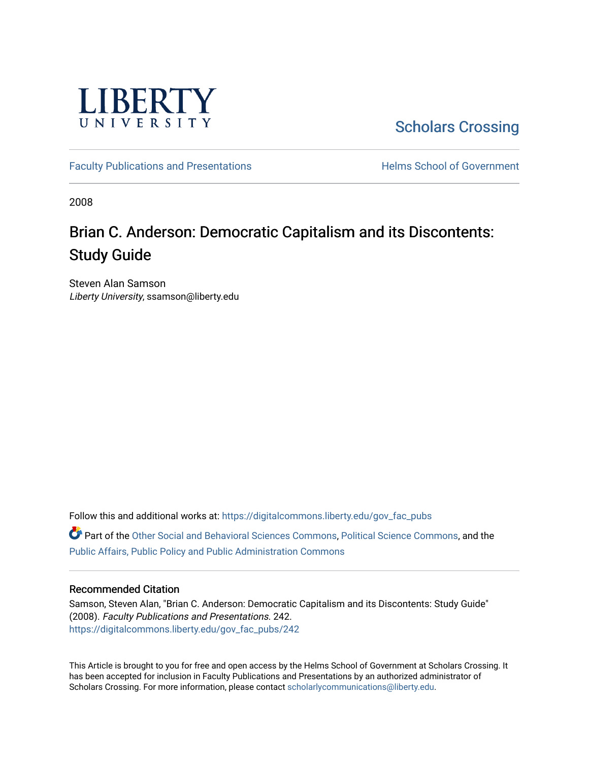

[Scholars Crossing](https://digitalcommons.liberty.edu/) 

[Faculty Publications and Presentations](https://digitalcommons.liberty.edu/gov_fac_pubs) **Exercise School of Government** 

2008

# Brian C. Anderson: Democratic Capitalism and its Discontents: Study Guide

Steven Alan Samson Liberty University, ssamson@liberty.edu

Follow this and additional works at: [https://digitalcommons.liberty.edu/gov\\_fac\\_pubs](https://digitalcommons.liberty.edu/gov_fac_pubs?utm_source=digitalcommons.liberty.edu%2Fgov_fac_pubs%2F242&utm_medium=PDF&utm_campaign=PDFCoverPages) Part of the [Other Social and Behavioral Sciences Commons](http://network.bepress.com/hgg/discipline/437?utm_source=digitalcommons.liberty.edu%2Fgov_fac_pubs%2F242&utm_medium=PDF&utm_campaign=PDFCoverPages), [Political Science Commons](http://network.bepress.com/hgg/discipline/386?utm_source=digitalcommons.liberty.edu%2Fgov_fac_pubs%2F242&utm_medium=PDF&utm_campaign=PDFCoverPages), and the [Public Affairs, Public Policy and Public Administration Commons](http://network.bepress.com/hgg/discipline/393?utm_source=digitalcommons.liberty.edu%2Fgov_fac_pubs%2F242&utm_medium=PDF&utm_campaign=PDFCoverPages)

### Recommended Citation

Samson, Steven Alan, "Brian C. Anderson: Democratic Capitalism and its Discontents: Study Guide" (2008). Faculty Publications and Presentations. 242. [https://digitalcommons.liberty.edu/gov\\_fac\\_pubs/242](https://digitalcommons.liberty.edu/gov_fac_pubs/242?utm_source=digitalcommons.liberty.edu%2Fgov_fac_pubs%2F242&utm_medium=PDF&utm_campaign=PDFCoverPages)

This Article is brought to you for free and open access by the Helms School of Government at Scholars Crossing. It has been accepted for inclusion in Faculty Publications and Presentations by an authorized administrator of Scholars Crossing. For more information, please contact [scholarlycommunications@liberty.edu.](mailto:scholarlycommunications@liberty.edu)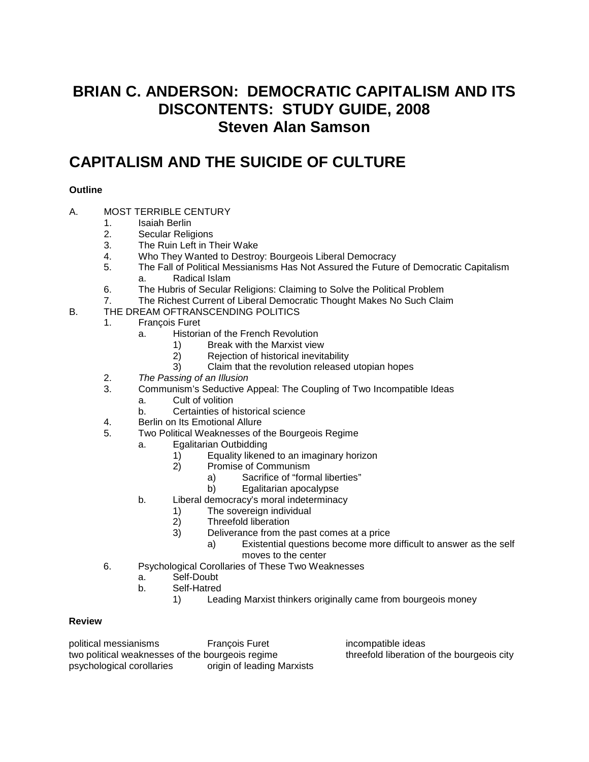## **BRIAN C. ANDERSON: DEMOCRATIC CAPITALISM AND ITS DISCONTENTS: STUDY GUIDE, 2008 Steven Alan Samson**

## **CAPITALISM AND THE SUICIDE OF CULTURE**

## **Outline**

- A. MOST TERRIBLE CENTURY
	- 1. Isaiah Berlin<br>2. Secular Relic
	- Secular Religions
	- 3. The Ruin Left in Their Wake
	- 4. Who They Wanted to Destroy: Bourgeois Liberal Democracy<br>5. The Fall of Political Messianisms Has Not Assured the Future
		- 5. The Fall of Political Messianisms Has Not Assured the Future of Democratic Capitalism a. Radical Islam
	- 6. The Hubris of Secular Religions: Claiming to Solve the Political Problem<br>7. The Richest Current of Liberal Democratic Thought Makes No Such Clair
	- The Richest Current of Liberal Democratic Thought Makes No Such Claim
- B. THE DREAM OFTRANSCENDING POLITICS
	- 1. François Furet
		- a. Historian of the French Revolution
			- 1) Break with the Marxist view
			- 2) Rejection of historical inevitability<br>3) Claim that the revolution released
			- Claim that the revolution released utopian hopes
	- 2. *The Passing of an Illusion*
	- 3. Communism's Seductive Appeal: The Coupling of Two Incompatible Ideas
		- a. Cult of volition
		- b. Certainties of historical science
	- 4. Berlin on Its Emotional Allure<br>5. Two Political Weaknesses of
	- Two Political Weaknesses of the Bourgeois Regime
		- a. Egalitarian Outbidding
			- 1) Equality likened to an imaginary horizon<br>2) Promise of Communism
			- 2) Promise of Communism
				- a) Sacrifice of "formal liberties"
				- b) Egalitarian apocalypse
		- b. Liberal democracy's moral indeterminacy
			- 1) The sovereign individual
			- 2) Threefold liberation<br>3) Deliverance from the
			- 3) Deliverance from the past comes at a price
				- a) Existential questions become more difficult to answer as the self moves to the center
	- 6. Psychological Corollaries of These Two Weaknesses
		- a. Self-Doubt
		- b. Self-Hatred
			- 1) Leading Marxist thinkers originally came from bourgeois money

### **Review**

political messianisms François Furet incompatible ideas two political weaknesses of the bourgeois regime threefold liberation of the bourgeois city<br>
psychological corollaries origin of leading Marxists origin of leading Marxists